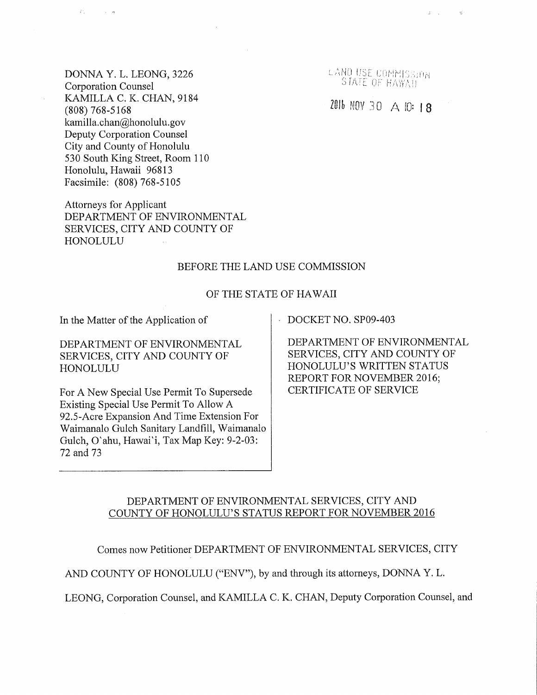DONNA Y. L. LEONG, 3226 Corporation Counsel KAMILLA C. K. CHAN, 9184 (808) 768-5168 kamilla.chan@honolulu.gov Deputy Corporation Counsel City and County of Honolulu 530 South King Street, Room 110 Honolulu, Hawaii 96813 Facsimile: (808) 768-5105

 $\mathcal{L}_{\infty}^{\rm{in}}$ 

 $\gamma_{\rm eff}$  , as

Attorneys for Applicant DEPARTMENT OF ENVIRONMENTAL SERVICES, CITY AND COUNTY OF HONOLULU

BEFORE THE LAND USE COMMISSION

#### OF THE STATE OF HAWAII

In the Matter of the Application of DOCKET NO. SP09-403

DEPARTMENT OF ENVIRONMENTAL SERVICES, CITY AND COUNTY OF HONOLULU

For A New Special Use Permit To Supersede Existing Special Use Permit To Allow A 92.5-Acre Expansion And Time Extension For Waimanalo Gulch Sanitary Landfill, Waimanalo Gulch, O'ahu, Hawai'i, Tax Map Key: 9-2-03: 72 and 73

DEPARTMENT OF ENVIRONMENTAL SERVICES, CITY AND COUNTY OF HONOLULU'S WRITTEN STATUS REPORT FOR NOVEMBER 2016; CERTIFICATE OF SERVICE

## DEPARTMENT OF ENVIRONMENTAL SERVICES, CITY AND COUNTY OF HONOLULU'S STATUS REPORT FOR NOVEMBER 2016

Comes now Petitioner DEPARTMENT OF ENVIRONMENTAL SERVICES, CITY

AND COUNTY OF HONOLULU ("ENV"), by and through its attorneys, DONNA Y. L.

LEONG, Corporation Counsel, and KAMILLA C. K. CHAN, Deputy Corporation Counsel, and

LAND USE COMMISSION

 $\mathcal{S}^{\mathcal{C}}$  ,  $\mathcal{C}^{\mathcal{C}}$ 

 $\mathcal{R}^{\mathcal{I}}_{\mathcal{Q}}$ 

2016 NOV 30 A 10:18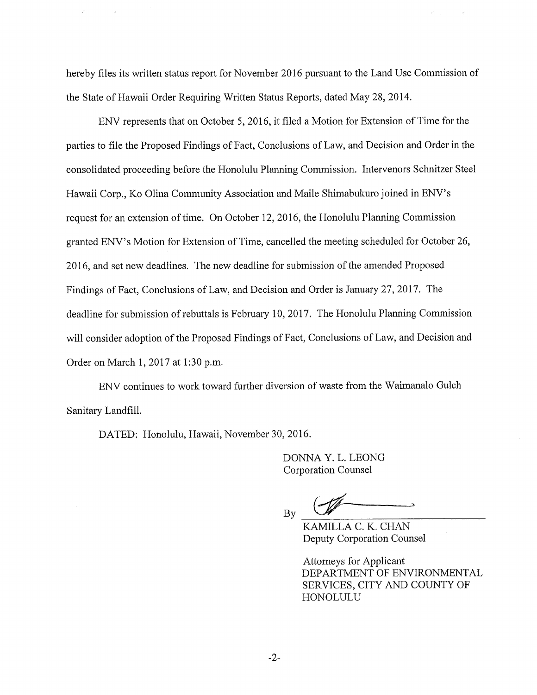hereby files its written status report for November 2016 pursuant to the Land Use Commission of the State of Hawaii Order Requiring Written Status Reports, dated May 28, 2014.

ENV represents that on October 5, 2016, it filed a Motion for Extension of Time for the parties to file the Proposed Findings of Fact, Conclusions of Law, and Decision and Order in the consolidated proceeding before the Honolulu Planning Commission. Intervenors Schnitzer Steel Hawaii Corp., Ko Olina Community Association and Maile Shimabukuro joined in ENV's request for an extension of time. On October 12, 2016, the Honolulu Planning Commission granted ENV's Motion for Extension of Time, cancelled the meeting scheduled for October 26, 2016, and set new deadlines. The new deadline for submission of the amended Proposed Findings of Fact, Conclusions of Law, and Decision and Order is January 27, 2017. The deadline for submission of rebuttals is February 10, 2017. The Honolulu Planning Commission will consider adoption of the Proposed Findings of Fact, Conclusions of Law, and Decision and Order on March 1, 2017 at 1:30 p.m.

ENV continues to work toward further diversion of waste from the Waimanalo Gulch Sanitary Landfill.

DATED: Honolulu, Hawaii, November 30, 2016.

DONNA Y. L. LEONG Corporation Counsel

By

KAMILLA C. K. CHAN Deputy Corporation Counsel

Attorneys for Applicant DEPARTMENT OF ENVIRONMENTAL SERVICES, CITY AND COUNTY OF HONOLULU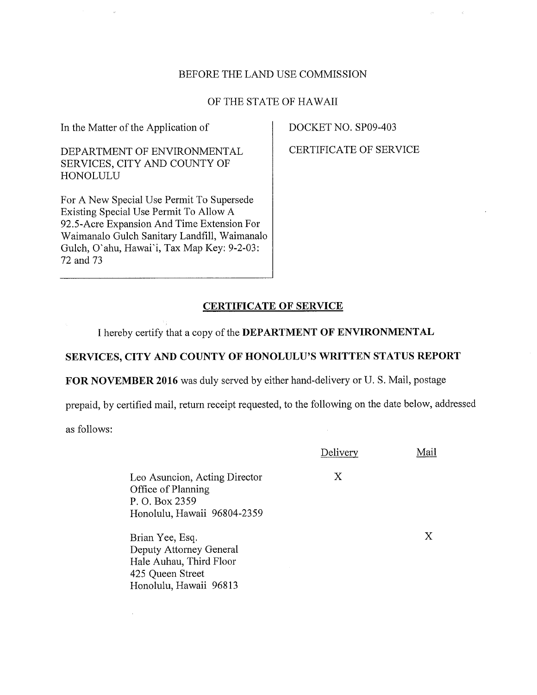## BEFORE THE LAND USE COMMISSION

## OF THE STATE OF HAWAII

In the Matter of the Application of

# DEPARTMENT OF ENVIRONMENTAL SERVICES, CITY AND COUNTY OF HONOLULU

For A New Special Use Permit To Supersede Existing Special Use Permit To Allow A 92.5-Acre Expansion And Time Extension For Waimanalo Gulch Sanitary Landfill, Waimanalo Gulch, O'ahu, Hawai'i, Tax Map Key: 9-2-03: 72 and 73

DOCKET NO. SP09-403

CERTIFICATE OF SERVICE

#### CERTIFICATE OF SERVICE

I hereby certify that a copy of the DEPARTMENT OF ENVIRONMENTAL

# SERVICES, CITY AND COUNTY OF HONOLULU'S WRITTEN STATUS REPORT

FOR NOVEMBER 2016 was duly served by either hand-delivery or U. S. Mail, postage

prepaid, by certified mail, return receipt requested, to the following on the date below, addressed

as follows:

|                                                                                                                     | Delivery | Mail |
|---------------------------------------------------------------------------------------------------------------------|----------|------|
| Leo Asuncion, Acting Director<br>Office of Planning<br>P. O. Box 2359<br>Honolulu, Hawaii 96804-2359                | Х        |      |
| Brian Yee, Esq.<br>Deputy Attorney General<br>Hale Auhau, Third Floor<br>425 Queen Street<br>Honolulu, Hawaii 96813 |          | X    |